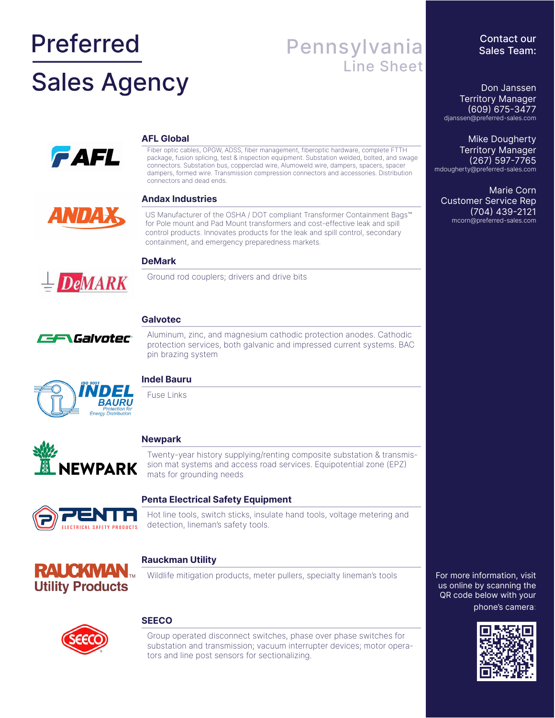# **Preferred Sales Agency**

# Pennsylvania Line Sheet

**FAFL** 

#### **AFL Global**

Fiber optic cables, OPGW, ADSS, fiber management, fiberoptic hardware, complete FTTH package, fusion splicing, test & inspection equipment. Substation welded, bolted, and swage connectors. Substation bus, copperclad wire, Alumoweld wire, dampers, spacers, spacer dampers, formed wire. Transmission compression connectors and accessories. Distribution connectors and dead ends.

#### **Andax Industries**

US Manufacturer of the OSHA / DOT compliant Transformer Containment Bags™ for Pole mount and Pad Mount transformers and cost-effective leak and spill control products. Innovates products for the leak and spill control, secondary containment, and emergency preparedness markets.

### **DeMark**

Ground rod couplers; drivers and drive bits



**DeMARK** 

## **Galvotec**

Aluminum, zinc, and magnesium cathodic protection anodes. Cathodic protection services, both galvanic and impressed current systems. BAC pin brazing system



#### **Indel Bauru**

Fuse Links



#### **Newpark**

Twenty-year history supplying/renting composite substation & transmission mat systems and access road services. Equipotential zone (EPZ) mats for grounding needs



#### **Penta Electrical Safety Equipment**

Hot line tools, switch sticks, insulate hand tools, voltage metering and detection, lineman's safety tools.



#### **Rauckman Utility**

Wildlife mitigation products, meter pullers, specialty lineman's tools



#### **SEECO**

Group operated disconnect switches, phase over phase switches for substation and transmission; vacuum interrupter devices; motor operators and line post sensors for sectionalizing.

For more information, visit us online by scanning the QR code below with your phone's camera:



#### Contact our Sales Team:

Don Janssen Territory Manager (609) 675-3477 djanssen@preferred-sales.com

Mike Dougherty Territory Manager (267) 597-7765 mdougherty@preferred-sales.com

Marie Corn Customer Service Rep (704) 439-2121 mcorn@preferred-sales.com